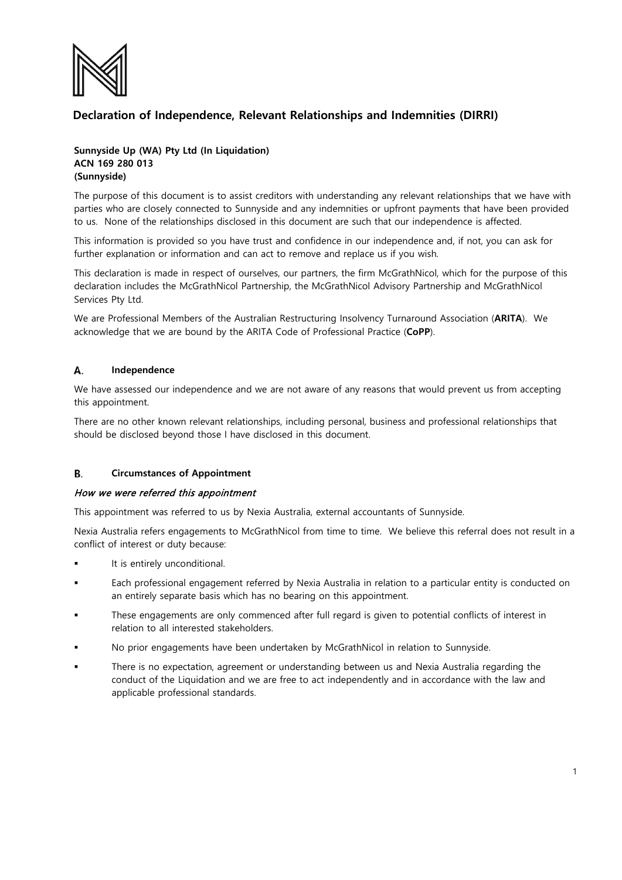

# **Declaration of Independence, Relevant Relationships and Indemnities (DIRRI)**

## **Sunnyside Up (WA) Pty Ltd (In Liquidation) ACN 169 280 013 (Sunnyside)**

The purpose of this document is to assist creditors with understanding any relevant relationships that we have with parties who are closely connected to Sunnyside and any indemnities or upfront payments that have been provided to us. None of the relationships disclosed in this document are such that our independence is affected.

This information is provided so you have trust and confidence in our independence and, if not, you can ask for further explanation or information and can act to remove and replace us if you wish.

This declaration is made in respect of ourselves, our partners, the firm McGrathNicol, which for the purpose of this declaration includes the McGrathNicol Partnership, the McGrathNicol Advisory Partnership and McGrathNicol Services Pty Ltd.

We are Professional Members of the Australian Restructuring Insolvency Turnaround Association (**ARITA**). We acknowledge that we are bound by the ARITA Code of Professional Practice (**CoPP**).

### А. **Independence**

We have assessed our independence and we are not aware of any reasons that would prevent us from accepting this appointment.

There are no other known relevant relationships, including personal, business and professional relationships that should be disclosed beyond those I have disclosed in this document.

### B. **Circumstances of Appointment**

### How we were referred this appointment

This appointment was referred to us by Nexia Australia, external accountants of Sunnyside.

Nexia Australia refers engagements to McGrathNicol from time to time. We believe this referral does not result in a conflict of interest or duty because:

- It is entirely unconditional.
- Each professional engagement referred by Nexia Australia in relation to a particular entity is conducted on an entirely separate basis which has no bearing on this appointment.
- These engagements are only commenced after full regard is given to potential conflicts of interest in relation to all interested stakeholders.
- No prior engagements have been undertaken by McGrathNicol in relation to Sunnyside.
- There is no expectation, agreement or understanding between us and Nexia Australia regarding the conduct of the Liquidation and we are free to act independently and in accordance with the law and applicable professional standards.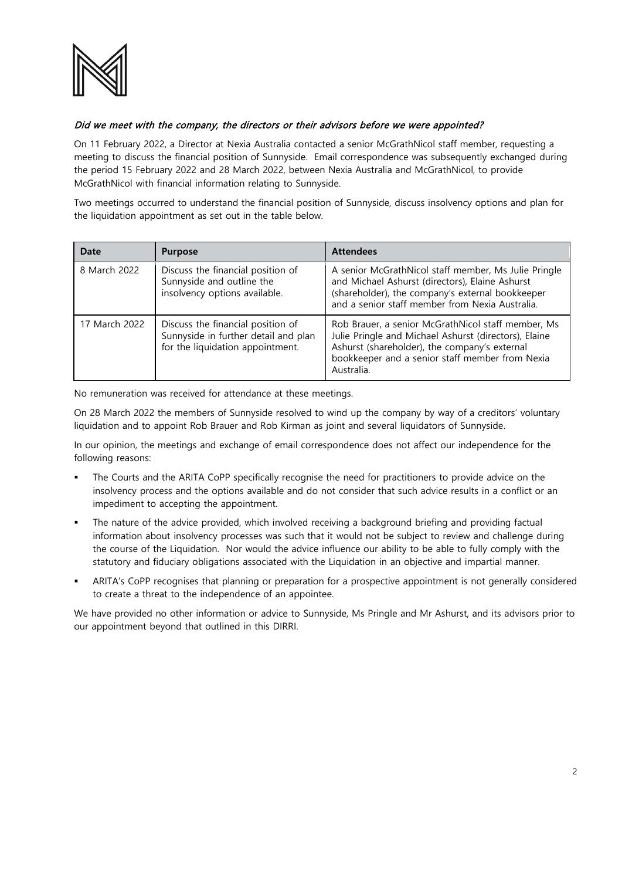

## Did we meet with the company, the directors or their advisors before we were appointed?

On 11 February 2022, a Director at Nexia Australia contacted a senior McGrathNicol staff member, requesting a meeting to discuss the financial position of Sunnyside. Email correspondence was subsequently exchanged during the period 15 February 2022 and 28 March 2022, between Nexia Australia and McGrathNicol, to provide McGrathNicol with financial information relating to Sunnyside.

Two meetings occurred to understand the financial position of Sunnyside, discuss insolvency options and plan for the liquidation appointment as set out in the table below.

| Date          | <b>Purpose</b>                                                                                                | <b>Attendees</b>                                                                                                                                                                                                              |
|---------------|---------------------------------------------------------------------------------------------------------------|-------------------------------------------------------------------------------------------------------------------------------------------------------------------------------------------------------------------------------|
| 8 March 2022  | Discuss the financial position of<br>Sunnyside and outline the<br>insolvency options available.               | A senior McGrathNicol staff member, Ms Julie Pringle<br>and Michael Ashurst (directors), Elaine Ashurst<br>(shareholder), the company's external bookkeeper<br>and a senior staff member from Nexia Australia.                |
| 17 March 2022 | Discuss the financial position of<br>Sunnyside in further detail and plan<br>for the liquidation appointment. | Rob Brauer, a senior McGrathNicol staff member, Ms<br>Julie Pringle and Michael Ashurst (directors), Elaine<br>Ashurst (shareholder), the company's external<br>bookkeeper and a senior staff member from Nexia<br>Australia. |

No remuneration was received for attendance at these meetings.

On 28 March 2022 the members of Sunnyside resolved to wind up the company by way of a creditors' voluntary liquidation and to appoint Rob Brauer and Rob Kirman as joint and several liquidators of Sunnyside.

In our opinion, the meetings and exchange of email correspondence does not affect our independence for the following reasons:

- The Courts and the ARITA CoPP specifically recognise the need for practitioners to provide advice on the insolvency process and the options available and do not consider that such advice results in a conflict or an impediment to accepting the appointment.
- The nature of the advice provided, which involved receiving a background briefing and providing factual information about insolvency processes was such that it would not be subject to review and challenge during the course of the Liquidation. Nor would the advice influence our ability to be able to fully comply with the statutory and fiduciary obligations associated with the Liquidation in an objective and impartial manner.
- ARITA's CoPP recognises that planning or preparation for a prospective appointment is not generally considered to create a threat to the independence of an appointee.

We have provided no other information or advice to Sunnyside, Ms Pringle and Mr Ashurst, and its advisors prior to our appointment beyond that outlined in this DIRRI.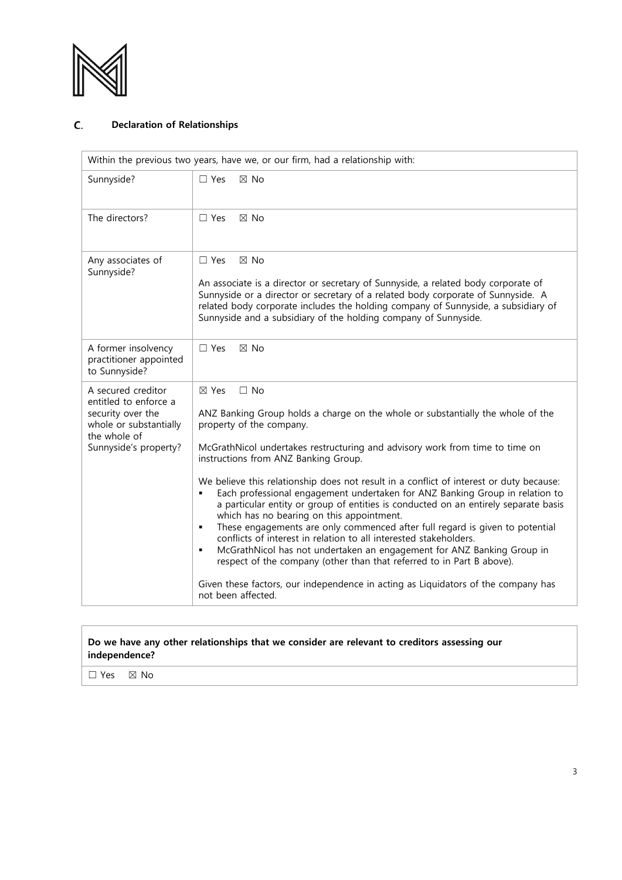

### C. **Declaration of Relationships**

| Within the previous two years, have we, or our firm, had a relationship with:                                                       |                                                                                                                                                                                                                                                                                                                                                                                                                                                                                                                                                                                                                                                                                                                                                                                                                                                                                                                                                                                                |  |  |
|-------------------------------------------------------------------------------------------------------------------------------------|------------------------------------------------------------------------------------------------------------------------------------------------------------------------------------------------------------------------------------------------------------------------------------------------------------------------------------------------------------------------------------------------------------------------------------------------------------------------------------------------------------------------------------------------------------------------------------------------------------------------------------------------------------------------------------------------------------------------------------------------------------------------------------------------------------------------------------------------------------------------------------------------------------------------------------------------------------------------------------------------|--|--|
| Sunnyside?                                                                                                                          | $\Box$ Yes<br>$\boxtimes$ No                                                                                                                                                                                                                                                                                                                                                                                                                                                                                                                                                                                                                                                                                                                                                                                                                                                                                                                                                                   |  |  |
| The directors?                                                                                                                      | $\Box$ Yes<br>$\boxtimes$ No                                                                                                                                                                                                                                                                                                                                                                                                                                                                                                                                                                                                                                                                                                                                                                                                                                                                                                                                                                   |  |  |
| Any associates of<br>Sunnyside?                                                                                                     | $\boxtimes$ No<br>$\Box$ Yes<br>An associate is a director or secretary of Sunnyside, a related body corporate of<br>Sunnyside or a director or secretary of a related body corporate of Sunnyside. A<br>related body corporate includes the holding company of Sunnyside, a subsidiary of<br>Sunnyside and a subsidiary of the holding company of Sunnyside.                                                                                                                                                                                                                                                                                                                                                                                                                                                                                                                                                                                                                                  |  |  |
| A former insolvency<br>practitioner appointed<br>to Sunnyside?                                                                      | $\Box$ Yes<br>$\boxtimes$ No                                                                                                                                                                                                                                                                                                                                                                                                                                                                                                                                                                                                                                                                                                                                                                                                                                                                                                                                                                   |  |  |
| A secured creditor<br>entitled to enforce a<br>security over the<br>whole or substantially<br>the whole of<br>Sunnyside's property? | $\Box$ No<br>$\boxtimes$ Yes<br>ANZ Banking Group holds a charge on the whole or substantially the whole of the<br>property of the company.<br>McGrathNicol undertakes restructuring and advisory work from time to time on<br>instructions from ANZ Banking Group.<br>We believe this relationship does not result in a conflict of interest or duty because:<br>Each professional engagement undertaken for ANZ Banking Group in relation to<br>٠<br>a particular entity or group of entities is conducted on an entirely separate basis<br>which has no bearing on this appointment.<br>These engagements are only commenced after full regard is given to potential<br>٠<br>conflicts of interest in relation to all interested stakeholders.<br>McGrathNicol has not undertaken an engagement for ANZ Banking Group in<br>٠<br>respect of the company (other than that referred to in Part B above).<br>Given these factors, our independence in acting as Liquidators of the company has |  |  |
|                                                                                                                                     | not been affected.                                                                                                                                                                                                                                                                                                                                                                                                                                                                                                                                                                                                                                                                                                                                                                                                                                                                                                                                                                             |  |  |

## **Do we have any other relationships that we consider are relevant to creditors assessing our independence?**

☐ Yes ☒ No